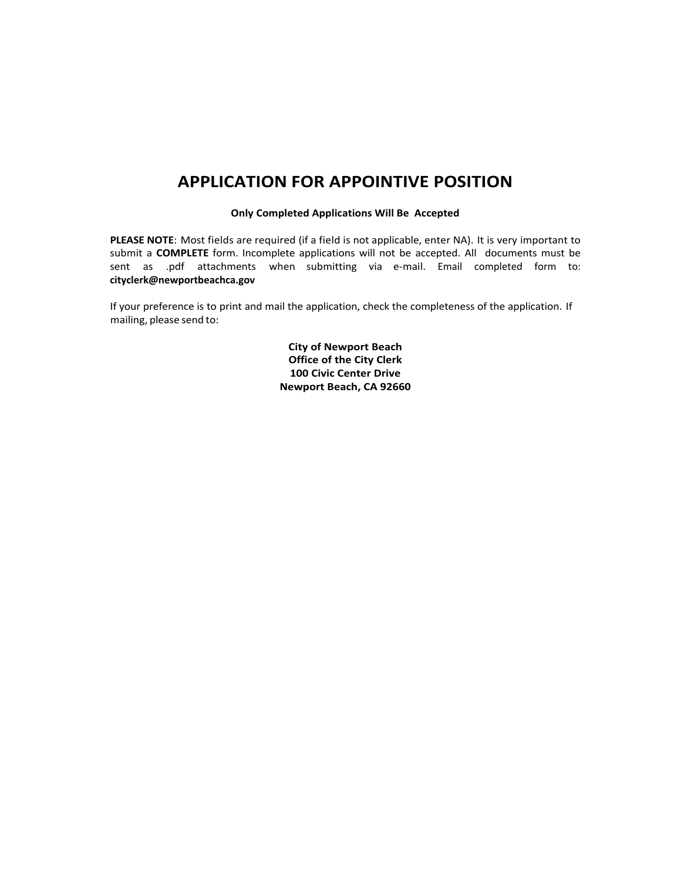## **APPLICATION FOR APPOINTIVE POSITION**

#### **Only Completed Applications Will Be Accepted**

**PLEASE NOTE**: Most fields are required (if a field is not applicable, enter NA). It is very important to submit a **COMPLETE** form. Incomplete applications will not be accepted. All documents must be sent as .pdf attachments when submitting via e-mail. Email completed form to: **cityclerk@newportbeachca.gov**

If your preference is to print and mail the application, check the completeness of the application. If mailing, please send to:

> **City of Newport Beach Office of the City Clerk 100 Civic Center Drive Newport Beach, CA 92660**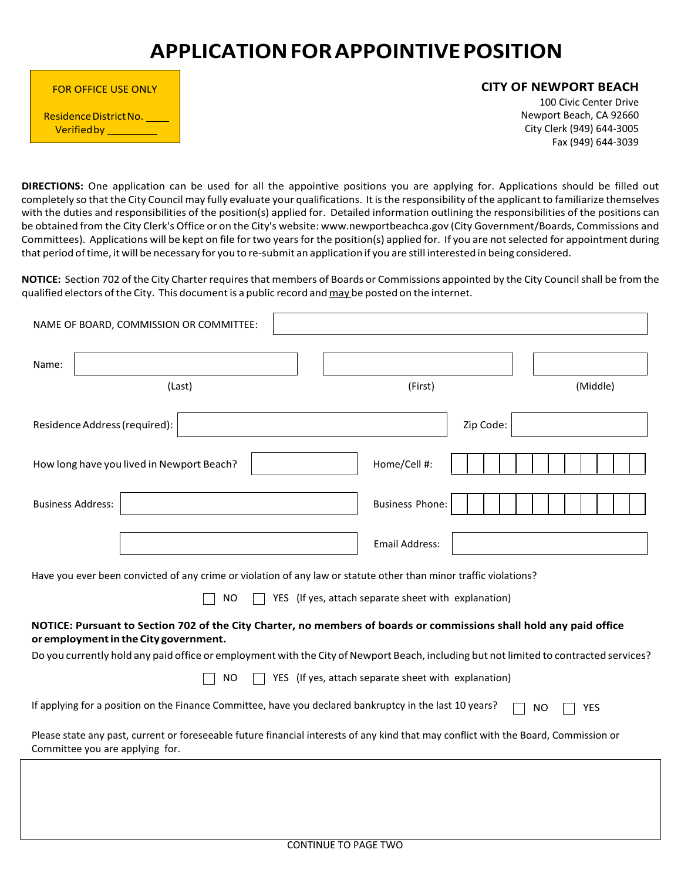# **APPLICATIONFOR APPOINTIVE POSITION**

| <b>FOR OFFICE USE ONLY</b>                   |  |
|----------------------------------------------|--|
| Residence District No.<br><b>Verified by</b> |  |

#### **CITY OF NEWPORT BEACH**

100 Civic Center Drive Newport Beach, CA 92660 City Clerk (949) 644-3005 Fax (949) 644-3039

**DIRECTIONS:** One application can be used for all the appointive positions you are applying for. Applications should be filled out completely so that the City Council may fully evaluate your qualifications. It isthe responsibility ofthe applicant to familiarize themselves with the duties and responsibilities of the position(s) applied for. Detailed information outlining the responsibilities of the positions can be obtained from the City Clerk's Office or on the City's website: [www.newportbeachca.gov](http://www.newportbeachca.gov/) (City Government/Boards, Commissions and Committees). Applications will be kept on file for two yearsfor the position(s) applied for. If you are notselected for appointment during that period oftime, it will be necessary for you to re-submit an application if you are still interested in being considered.

**NOTICE:** Section 702 of the City Charter requires that members of Boards or Commissions appointed by the City Council shall be from the qualified electors of the City. This document is a public record and may be posted on the internet.

| NAME OF BOARD, COMMISSION OR COMMITTEE:<br>Name:                                                                  |                                                                                                                                       |
|-------------------------------------------------------------------------------------------------------------------|---------------------------------------------------------------------------------------------------------------------------------------|
| (Last)                                                                                                            | (First)<br>(Middle)                                                                                                                   |
| Residence Address (required):                                                                                     | Zip Code:                                                                                                                             |
| How long have you lived in Newport Beach?                                                                         | Home/Cell #:                                                                                                                          |
| <b>Business Address:</b>                                                                                          | <b>Business Phone:</b>                                                                                                                |
|                                                                                                                   | <b>Email Address:</b>                                                                                                                 |
| Have you ever been convicted of any crime or violation of any law or statute other than minor traffic violations? |                                                                                                                                       |
| <b>NO</b>                                                                                                         | YES (If yes, attach separate sheet with explanation)                                                                                  |
| or employment in the City government.                                                                             | NOTICE: Pursuant to Section 702 of the City Charter, no members of boards or commissions shall hold any paid office                   |
|                                                                                                                   | Do you currently hold any paid office or employment with the City of Newport Beach, including but not limited to contracted services? |
| <b>NO</b>                                                                                                         | YES (If yes, attach separate sheet with explanation)                                                                                  |
| If applying for a position on the Finance Committee, have you declared bankruptcy in the last 10 years?           | YES<br><b>NO</b>                                                                                                                      |
| Committee you are applying for.                                                                                   | Please state any past, current or foreseeable future financial interests of any kind that may conflict with the Board, Commission or  |
|                                                                                                                   |                                                                                                                                       |
|                                                                                                                   |                                                                                                                                       |